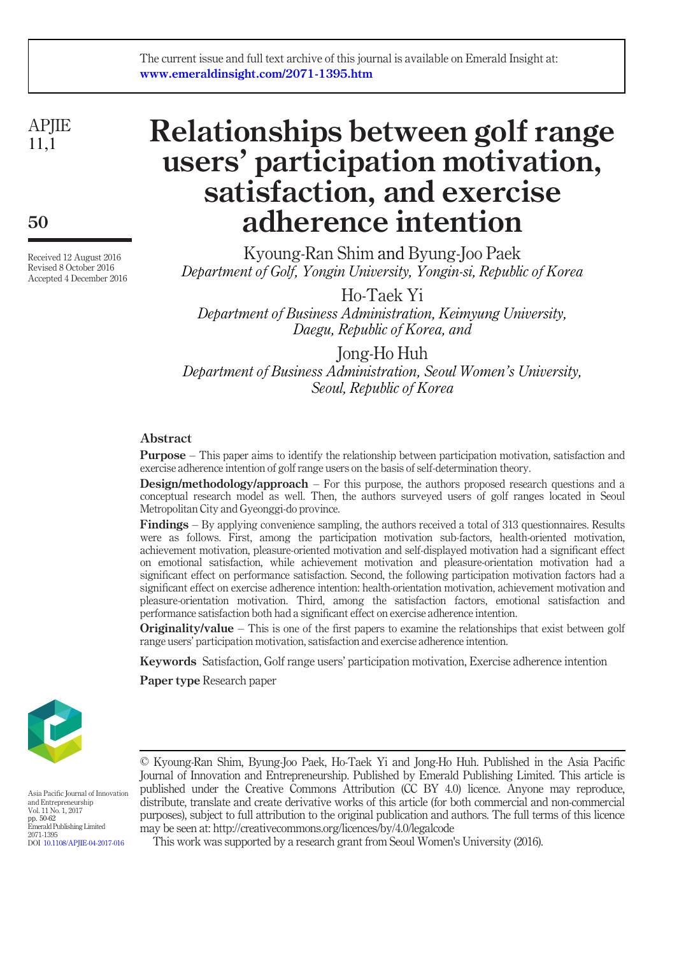APJIE 11,1

50

Received 12 August 2016 Revised 8 October 2016 Accepted 4 December 2016

# Relationships between golf range users' participation motivation, satisfaction, and exercise adherence intention

Kyoung-Ran Shim and Byung-Joo Paek Department of Golf, Yongin University, Yongin-si, Republic of Korea

Ho-Taek Yi Department of Business Administration, Keimyung University, Daegu, Republic of Korea, and

Jong-Ho Huh Department of Business Administration, Seoul Women's University, Seoul, Republic of Korea

# Abstract

**Purpose** – This paper aims to identify the relationship between participation motivation, satisfaction and exercise adherence intention of golf range users on the basis of self-determination theory.

**Design/methodology/approach** – For this purpose, the authors proposed research questions and a conceptual research model as well. Then, the authors surveyed users of golf ranges located in Seoul Metropolitan City and Gyeonggi-do province.

Findings – By applying convenience sampling, the authors received a total of 313 questionnaires. Results were as follows. First, among the participation motivation sub-factors, health-oriented motivation, achievement motivation, pleasure-oriented motivation and self-displayed motivation had a significant effect on emotional satisfaction, while achievement motivation and pleasure-orientation motivation had a significant effect on performance satisfaction. Second, the following participation motivation factors had a significant effect on exercise adherence intention: health-orientation motivation, achievement motivation and pleasure-orientation motivation. Third, among the satisfaction factors, emotional satisfaction and performance satisfaction both had a significant effect on exercise adherence intention.

**Originality/value** – This is one of the first papers to examine the relationships that exist between golf range users' participation motivation, satisfaction and exercise adherence intention.

Keywords Satisfaction, Golf range users' participation motivation, Exercise adherence intention

Paper type Research paper



Asia Pacific Journal of Innovation and Entrepreneurship Vol. 11 No. 1, 2017 pp. 50-62 Emerald Publishing Limited 2071-1395 DOI [10.1108/APJIE-04-2017-016](http://dx.doi.org/10.1108/APJIE-04-2017-016)

This work was supported by a research grant from Seoul Women's University (2016).

<sup>©</sup> Kyoung-Ran Shim, Byung-Joo Paek, Ho-Taek Yi and Jong-Ho Huh. Published in the Asia Pacific Journal of Innovation and Entrepreneurship. Published by Emerald Publishing Limited. This article is published under the Creative Commons Attribution (CC BY 4.0) licence. Anyone may reproduce, distribute, translate and create derivative works of this article (for both commercial and non-commercial purposes), subject to full attribution to the original publication and authors. The full terms of this licence may be seen at: http://creativecommons.org/licences/by/4.0/legalcode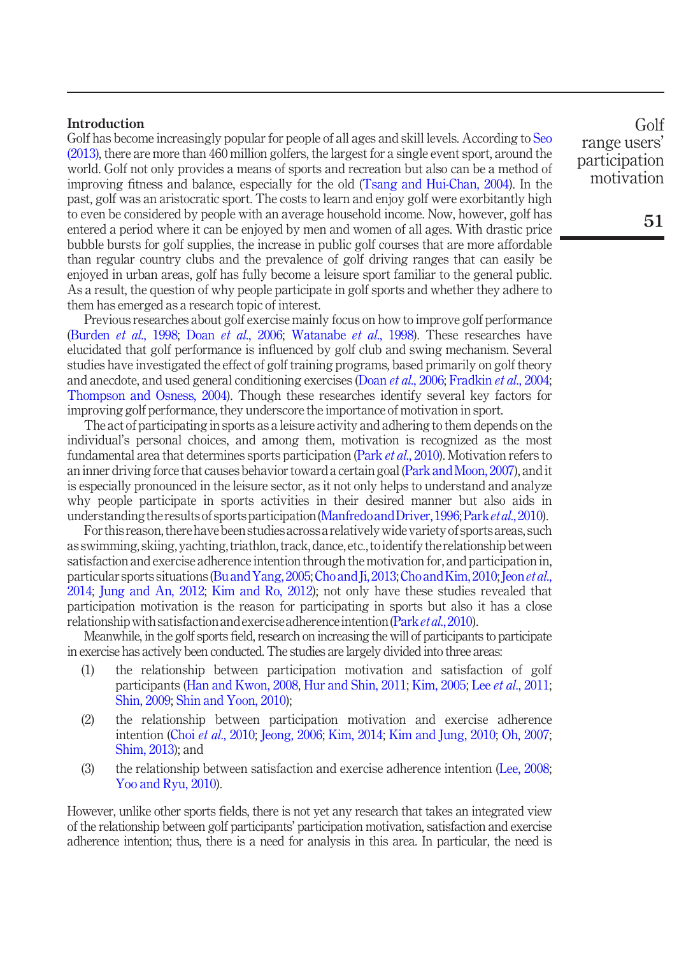#### Introduction

Golf has become increasingly popular for people of all ages and skill levels. According to [Seo](#page-12-0) [\(2013\)](#page-12-0), there are more than 460 million golfers, the largest for a single event sport, around the world. Golf not only provides a means of sports and recreation but also can be a method of improving fitness and balance, especially for the old [\(Tsang and Hui-Chan, 2004](#page-12-1)). In the past, golf was an aristocratic sport. The costs to learn and enjoy golf were exorbitantly high to even be considered by people with an average household income. Now, however, golf has entered a period where it can be enjoyed by men and women of all ages. With drastic price bubble bursts for golf supplies, the increase in public golf courses that are more affordable than regular country clubs and the prevalence of golf driving ranges that can easily be enjoyed in urban areas, golf has fully become a leisure sport familiar to the general public. As a result, the question of why people participate in golf sports and whether they adhere to them has emerged as a research topic of interest.

Previous researches about golf exercise mainly focus on how to improve golf performance [\(Burden](#page-10-0) et al., 1998; Doan et al[., 2006](#page-11-0); [Watanabe](#page-12-2) et al., 1998). These researches have elucidated that golf performance is influenced by golf club and swing mechanism. Several studies have investigated the effect of golf training programs, based primarily on golf theory and anecdote, and used general conditioning exercises (Doan et al[., 2006](#page-11-0); [Fradkin](#page-11-1) et al., 2004; [Thompson and Osness, 2004](#page-12-3)). Though these researches identify several key factors for improving golf performance, they underscore the importance of motivation in sport.

The act of participating in sports as a leisure activity and adhering to them depends on the individual's personal choices, and among them, motivation is recognized as the most fundamental area that determines sports participation (Park *et al.*, 2010). Motivation refers to an inner driving force that causes behavior toward a certain goal [\(Park andMoon, 2007](#page-11-3)), and it is especially pronounced in the leisure sector, as it not only helps to understand and analyze why people participate in sports activities in their desired manner but also aids in understanding the results of sports participation (Manfredo and Driver, 1996; Park et al., 2010).

For this reason, there have been studies acrossa relativelywide varietyof sports areas, such as swimming, skiing, yachting, triathlon, track, dance, etc., toidentify the relationship between satisfaction and exercise adherence intention through the motivation for, and participation in, particular sports situations (Bu and Yang, 2005; [Cho and Ji, 2013](#page-10-2); Cho and Kim, 2010; [Jeon](#page-11-5) et al., [2014;](#page-11-5) [Jung and An, 2012](#page-11-6); [Kim and Ro, 2012](#page-11-7)); not only have these studies revealed that participation motivation is the reason for participating in sports but also it has a close relationship with satisfaction and exercise adherence intention (Park et al., 2010).

Meanwhile, in the golf sports field, research on increasing the will of participants to participate in exercise has actively been conducted. The studies are largely divided into three areas:

- (1) the relationship between participation motivation and satisfaction of golf participants [\(Han and Kwon, 2008](#page-11-8), [Hur and Shin, 2011](#page-11-9); [Kim, 2005;](#page-11-10) Lee et al[., 2011](#page-11-11); [Shin, 2009;](#page-12-4) [Shin and Yoon, 2010\)](#page-12-5);
- (2) the relationship between participation motivation and exercise adherence intention (Choi et al[., 2010](#page-10-4); [Jeong, 2006;](#page-11-12) [Kim, 2014;](#page-11-13) [Kim and Jung, 2010;](#page-11-14) [Oh, 2007](#page-11-15); [Shim, 2013](#page-12-6)); and
- (3) the relationship between satisfaction and exercise adherence intention ([Lee, 2008](#page-11-16); [Yoo and Ryu, 2010\)](#page-12-7).

However, unlike other sports fields, there is not yet any research that takes an integrated view of the relationship between golf participants' participation motivation, satisfaction and exercise adherence intention; thus, there is a need for analysis in this area. In particular, the need is

Golf range users' participation motivation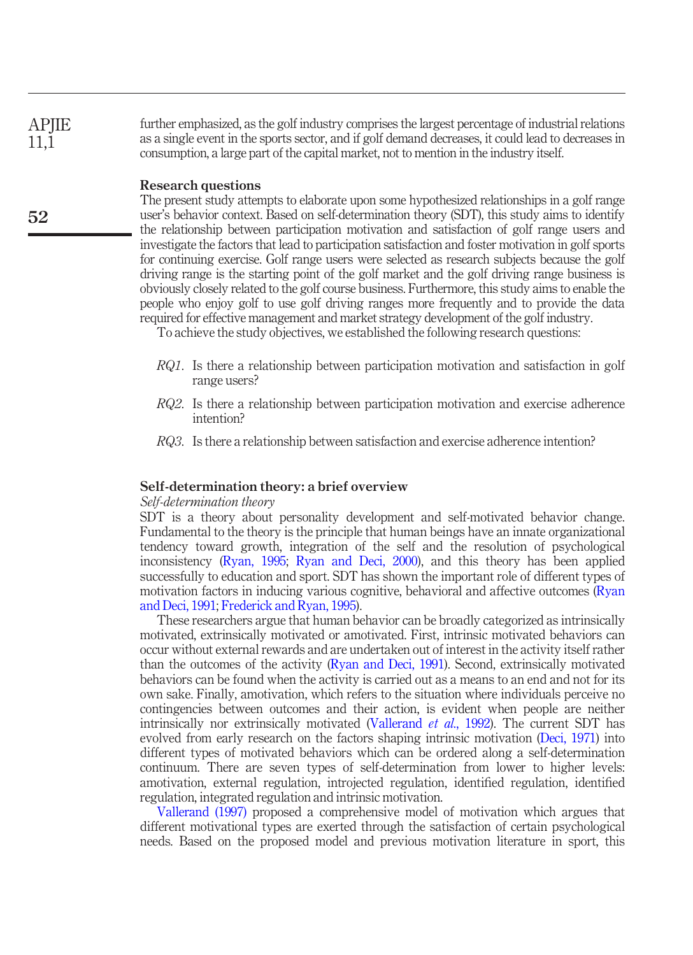further emphasized, as the golf industry comprises the largest percentage of industrial relations as a single event in the sports sector, and if golf demand decreases, it could lead to decreases in consumption, a large part of the capital market, not to mention in the industry itself. **APJIE** 11,1

#### Research questions

The present study attempts to elaborate upon some hypothesized relationships in a golf range user's behavior context. Based on self-determination theory (SDT), this study aims to identify the relationship between participation motivation and satisfaction of golf range users and investigate the factors that lead to participation satisfaction and foster motivation in golf sports for continuing exercise. Golf range users were selected as research subjects because the golf driving range is the starting point of the golf market and the golf driving range business is obviously closely related to the golf course business. Furthermore, this study aims to enable the people who enjoy golf to use golf driving ranges more frequently and to provide the data required for effective management and market strategy development of the golf industry.

To achieve the study objectives, we established the following research questions:

- RQ1. Is there a relationship between participation motivation and satisfaction in golf range users?
- RQ2. Is there a relationship between participation motivation and exercise adherence intention?
- RQ3. Is there a relationship between satisfaction and exercise adherence intention?

#### Self-determination theory: a brief overview

#### Self-determination theory

SDT is a theory about personality development and self-motivated behavior change. Fundamental to the theory is the principle that human beings have an innate organizational tendency toward growth, integration of the self and the resolution of psychological inconsistency ([Ryan, 1995;](#page-12-8) [Ryan and Deci, 2000](#page-12-9)), and this theory has been applied successfully to education and sport. SDT has shown the important role of different types of motivation factors in inducing various cognitive, behavioral and affective outcomes ([Ryan](#page-12-10) [and Deci, 1991;](#page-12-10) [Frederick and Ryan, 1995\)](#page-11-17).

These researchers argue that human behavior can be broadly categorized as intrinsically motivated, extrinsically motivated or amotivated. First, intrinsic motivated behaviors can occur without external rewards and are undertaken out of interest in the activity itself rather than the outcomes of the activity [\(Ryan and Deci, 1991](#page-12-10)). Second, extrinsically motivated behaviors can be found when the activity is carried out as a means to an end and not for its own sake. Finally, amotivation, which refers to the situation where individuals perceive no contingencies between outcomes and their action, is evident when people are neither intrinsically nor extrinsically motivated ([Vallerand](#page-12-11) *et al.*, 1992). The current SDT has evolved from early research on the factors shaping intrinsic motivation ([Deci, 1971](#page-10-5)) into different types of motivated behaviors which can be ordered along a self-determination continuum. There are seven types of self-determination from lower to higher levels: amotivation, external regulation, introjected regulation, identified regulation, identified regulation, integrated regulation and intrinsic motivation.

[Vallerand \(1997\)](#page-12-12) proposed a comprehensive model of motivation which argues that different motivational types are exerted through the satisfaction of certain psychological needs. Based on the proposed model and previous motivation literature in sport, this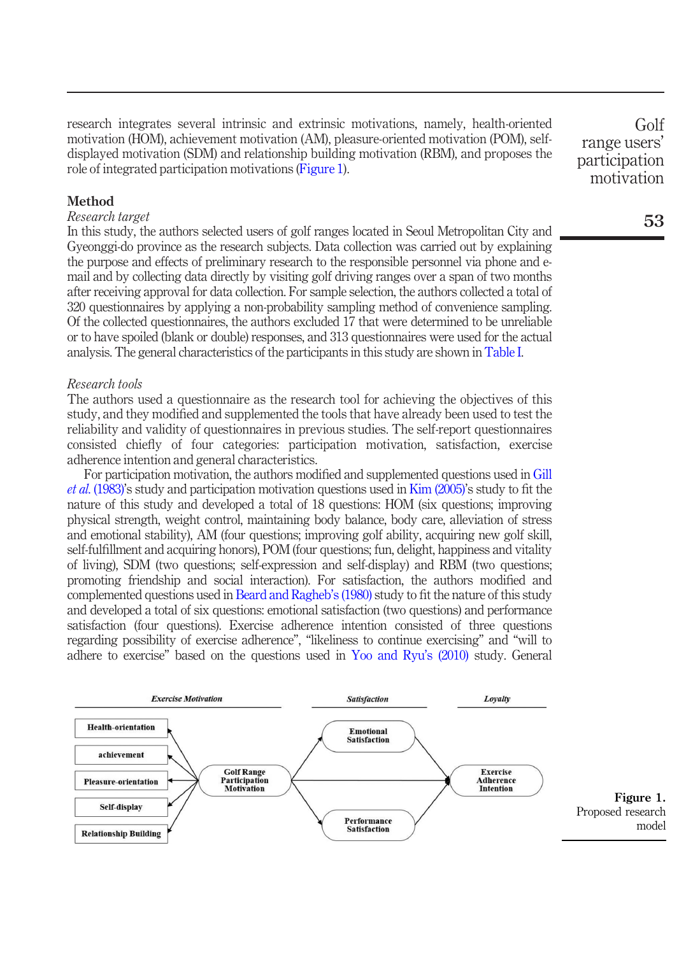research integrates several intrinsic and extrinsic motivations, namely, health-oriented motivation (HOM), achievement motivation (AM), pleasure-oriented motivation (POM), selfdisplayed motivation (SDM) and relationship building motivation (RBM), and proposes the role of integrated participation motivations [\(Figure 1\)](#page-3-0).

#### Method

#### Research target

In this study, the authors selected users of golf ranges located in Seoul Metropolitan City and Gyeonggi-do province as the research subjects. Data collection was carried out by explaining the purpose and effects of preliminary research to the responsible personnel via phone and email and by collecting data directly by visiting golf driving ranges over a span of two months after receiving approval for data collection. For sample selection, the authors collected a total of 320 questionnaires by applying a non-probability sampling method of convenience sampling. Of the collected questionnaires, the authors excluded 17 that were determined to be unreliable or to have spoiled (blank or double) responses, and 313 questionnaires were used for the actual analysis. The general characteristics of the participants in this study are shown in [Table I](#page-4-0).

#### Research tools

The authors used a questionnaire as the research tool for achieving the objectives of this study, and they modified and supplemented the tools that have already been used to test the reliability and validity of questionnaires in previous studies. The self-report questionnaires consisted chiefly of four categories: participation motivation, satisfaction, exercise adherence intention and general characteristics.

For participation motivation, the authors modified and supplemented questions used in [Gill](#page-11-18) et al[. \(1983\)](#page-11-18)'s study and participation motivation questions used in [Kim \(2005\)](#page-11-19)'s study to fit the nature of this study and developed a total of 18 questions: HOM (six questions; improving physical strength, weight control, maintaining body balance, body care, alleviation of stress and emotional stability), AM (four questions; improving golf ability, acquiring new golf skill, self-fulfillment and acquiring honors), POM (four questions; fun, delight, happiness and vitality of living), SDM (two questions; self-expression and self-display) and RBM (two questions; promoting friendship and social interaction). For satisfaction, the authors modified and complemented questions used in [Beard and Ragheb](#page-10-6)'s (1980) study to fit the nature of this study and developed a total of six questions: emotional satisfaction (two questions) and performance satisfaction (four questions). Exercise adherence intention consisted of three questions regarding possibility of exercise adherence", "likeliness to continue exercising" and "will to adhere to exercise" based on the questions used in [Yoo and Ryu](#page-12-7)'s (2010) study. General

<span id="page-3-0"></span>

Golf range users' participation motivation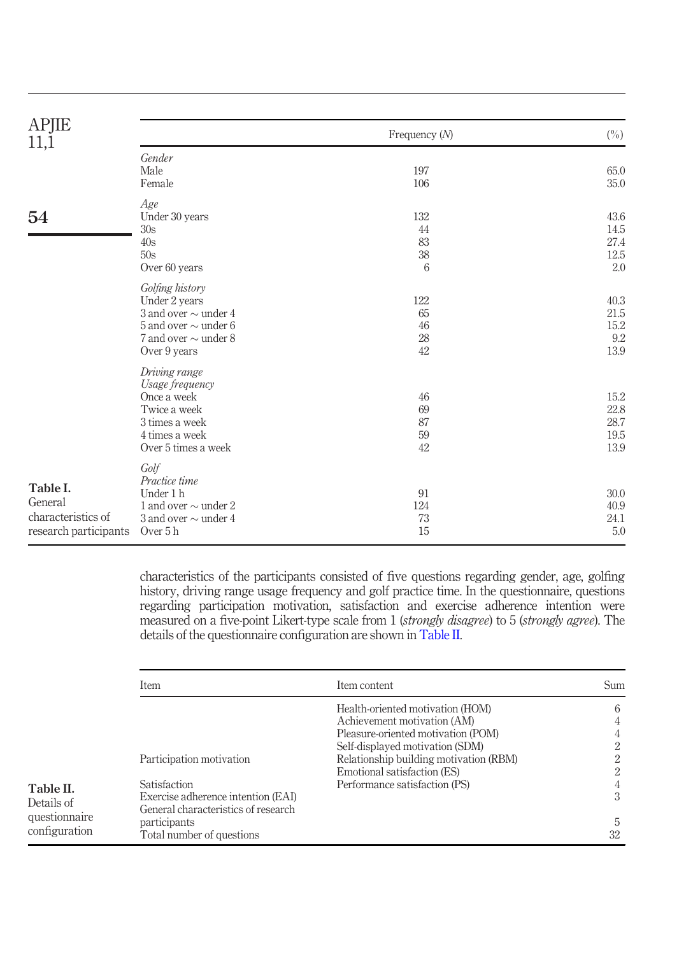| <b>APJIE</b><br>11,1                                               |                                                                                                                                         | Frequency $(N)$             | $(\%)$                               |
|--------------------------------------------------------------------|-----------------------------------------------------------------------------------------------------------------------------------------|-----------------------------|--------------------------------------|
|                                                                    | Gender<br>Male<br>Female                                                                                                                | 197<br>106                  | 65.0<br>35.0                         |
| 54                                                                 | Age<br>Under 30 years<br>30s<br>40s<br>50s<br>Over 60 years                                                                             | 132<br>44<br>83<br>38<br>6  | 43.6<br>14.5<br>27.4<br>12.5<br>2.0  |
|                                                                    | Golfing history<br>Under 2 years<br>3 and over $\sim$ under 4<br>5 and over $\sim$ under 6<br>7 and over $\sim$ under 8<br>Over 9 years | 122<br>65<br>46<br>28<br>42 | 40.3<br>21.5<br>15.2<br>9.2<br>13.9  |
|                                                                    | Driving range<br>Usage frequency<br>Once a week<br>Twice a week<br>3 times a week<br>4 times a week<br>Over 5 times a week              | 46<br>69<br>87<br>59<br>42  | 15.2<br>22.8<br>28.7<br>19.5<br>13.9 |
| Table I.<br>General<br>characteristics of<br>research participants | Golf<br>Practice time<br>Under 1 h<br>1 and over $\sim$ under 2<br>3 and over $\sim$ under 4<br>Over 5 h                                | 91<br>124<br>73<br>15       | 30.0<br>40.9<br>24.1<br>5.0          |

<span id="page-4-0"></span>characteristics of the participants consisted of five questions regarding gender, age, golfing history, driving range usage frequency and golf practice time. In the questionnaire, questions regarding participation motivation, satisfaction and exercise adherence intention were measured on a five-point Likert-type scale from 1 (*strongly disagree*) to 5 (*strongly agree*). The details of the questionnaire configuration are shown in [Table II](#page-4-1).

| Item                                | Item content                           | Sum |
|-------------------------------------|----------------------------------------|-----|
|                                     | Health-oriented motivation (HOM)       | 6   |
|                                     | Achievement motivation (AM)            | 4   |
|                                     | Pleasure-oriented motivation (POM)     |     |
|                                     | Self-displayed motivation (SDM)        | 2   |
| Participation motivation            | Relationship building motivation (RBM) | 2   |
|                                     | Emotional satisfaction (ES)            | 2   |
| Satisfaction                        | Performance satisfaction (PS)          | 4   |
| Exercise adherence intention (EAI)  |                                        | 3   |
| General characteristics of research |                                        |     |
| participants                        |                                        | 5   |
| Total number of questions           |                                        | 32  |

<span id="page-4-1"></span>Table II. Details of questionnaire configuration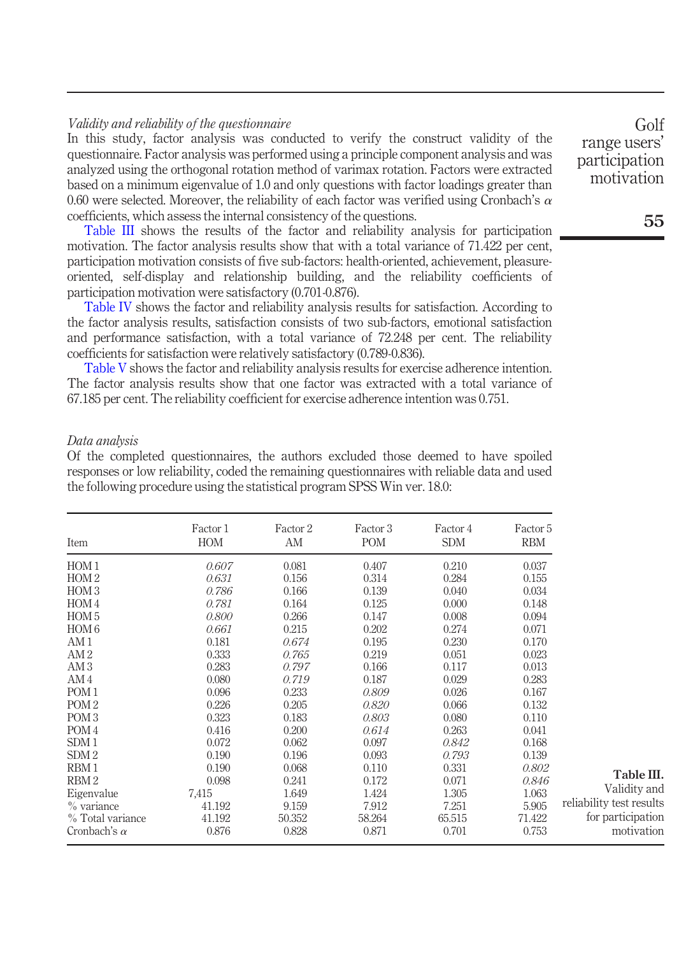#### Validity and reliability of the questionnaire

In this study, factor analysis was conducted to verify the construct validity of the questionnaire. Factor analysis was performed using a principle component analysis and was analyzed using the orthogonal rotation method of varimax rotation. Factors were extracted based on a minimum eigenvalue of 1.0 and only questions with factor loadings greater than 0.60 were selected. Moreover, the reliability of each factor was verified using Cronbach's  $\alpha$ coefficients, which assess the internal consistency of the questions.

[Table III](#page-5-0) shows the results of the factor and reliability analysis for participation motivation. The factor analysis results show that with a total variance of 71.422 per cent, participation motivation consists of five sub-factors: health-oriented, achievement, pleasureoriented, self-display and relationship building, and the reliability coefficients of participation motivation were satisfactory (0.701-0.876).

[Table IV](#page-6-0) shows the factor and reliability analysis results for satisfaction. According to the factor analysis results, satisfaction consists of two sub-factors, emotional satisfaction and performance satisfaction, with a total variance of 72.248 per cent. The reliability coefficients for satisfaction were relatively satisfactory (0.789-0.836).

[Table V](#page-6-1) shows the factor and reliability analysis results for exercise adherence intention. The factor analysis results show that one factor was extracted with a total variance of 67.185 per cent. The reliability coefficient for exercise adherence intention was 0.751.

#### Data analysis

Of the completed questionnaires, the authors excluded those deemed to have spoiled responses or low reliability, coded the remaining questionnaires with reliable data and used the following procedure using the statistical program SPSS Win ver. 18.0:

<span id="page-5-0"></span>

| Item                | Factor 1<br><b>HOM</b> | Factor 2<br>AM | Factor 3<br><b>POM</b> | Factor 4<br><b>SDM</b> | Factor 5<br><b>RBM</b> |                          |
|---------------------|------------------------|----------------|------------------------|------------------------|------------------------|--------------------------|
| HOM1                | 0.607                  | 0.081          | 0.407                  | 0.210                  | 0.037                  |                          |
| HOM2                | 0.631                  | 0.156          | 0.314                  | 0.284                  | 0.155                  |                          |
| HOM <sub>3</sub>    | 0.786                  | 0.166          | 0.139                  | 0.040                  | 0.034                  |                          |
| HOM <sub>4</sub>    | 0.781                  | 0.164          | 0.125                  | 0.000                  | 0.148                  |                          |
| HOM <sub>5</sub>    | 0.800                  | 0.266          | 0.147                  | 0.008                  | 0.094                  |                          |
| HOM <sub>6</sub>    | 0.661                  | 0.215          | 0.202                  | 0.274                  | 0.071                  |                          |
| AM <sub>1</sub>     | 0.181                  | 0.674          | 0.195                  | 0.230                  | 0.170                  |                          |
| AM <sub>2</sub>     | 0.333                  | 0.765          | 0.219                  | 0.051                  | 0.023                  |                          |
| AM <sub>3</sub>     | 0.283                  | 0.797          | 0.166                  | 0.117                  | 0.013                  |                          |
| AM4                 | 0.080                  | 0.719          | 0.187                  | 0.029                  | 0.283                  |                          |
| POM <sub>1</sub>    | 0.096                  | 0.233          | 0.809                  | 0.026                  | 0.167                  |                          |
| POM <sub>2</sub>    | 0.226                  | 0.205          | 0.820                  | 0.066                  | 0.132                  |                          |
| POM <sub>3</sub>    | 0.323                  | 0.183          | 0.803                  | 0.080                  | 0.110                  |                          |
| POM <sub>4</sub>    | 0.416                  | 0.200          | 0.614                  | 0.263                  | 0.041                  |                          |
| SDM <sub>1</sub>    | 0.072                  | 0.062          | 0.097                  | 0.842                  | 0.168                  |                          |
| SDM <sub>2</sub>    | 0.190                  | 0.196          | 0.093                  | 0.793                  | 0.139                  |                          |
| RBM <sub>1</sub>    | 0.190                  | 0.068          | 0.110                  | 0.331                  | 0.802                  |                          |
| RBM <sub>2</sub>    | 0.098                  | 0.241          | 0.172                  | 0.071                  | 0.846                  | Table III.               |
| Eigenvalue          | 7,415                  | 1.649          | 1.424                  | 1.305                  | 1.063                  | Validity and             |
| % variance          | 41.192                 | 9.159          | 7.912                  | 7.251                  | 5.905                  | reliability test results |
| % Total variance    | 41.192                 | 50.352         | 58.264                 | 65.515                 | 71.422                 | for participation        |
| Cronbach's $\alpha$ | 0.876                  | 0.828          | 0.871                  | 0.701                  | 0.753                  | motivation               |

Golf range users' participation motivation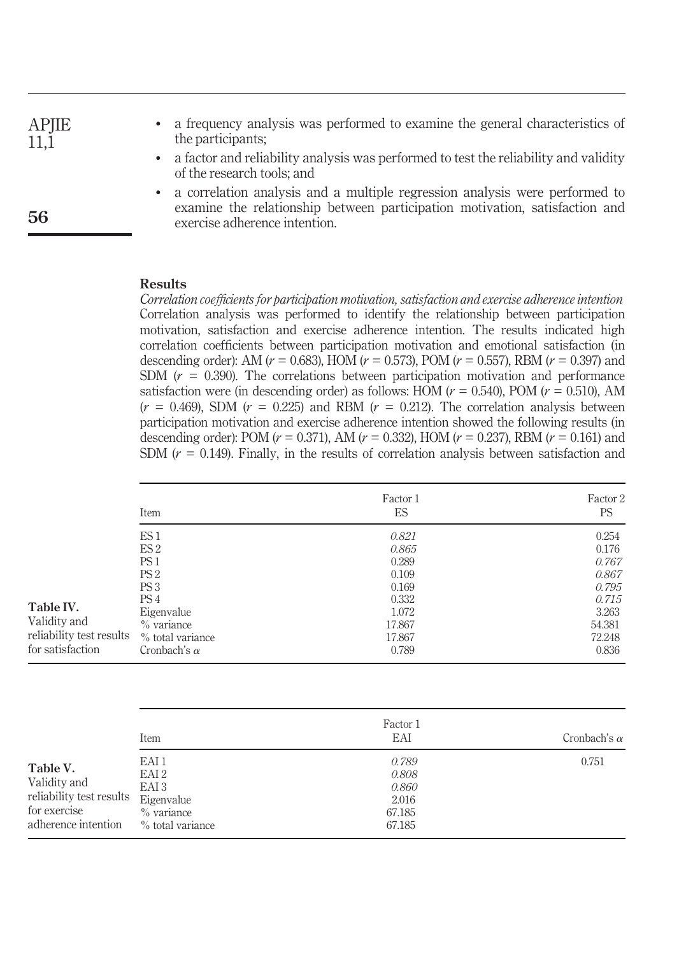56

- a frequency analysis was performed to examine the general characteristics of the participants;
- a factor and reliability analysis was performed to test the reliability and validity of the research tools; and
- a correlation analysis and a multiple regression analysis were performed to examine the relationship between participation motivation, satisfaction and exercise adherence intention.

#### Results

Correlation coefficients for participation motivation, satisfaction and exercise adherence intention Correlation analysis was performed to identify the relationship between participation motivation, satisfaction and exercise adherence intention. The results indicated high correlation coefficients between participation motivation and emotional satisfaction (in descending order): AM ( $r = 0.683$ ), HOM ( $r = 0.573$ ), POM ( $r = 0.557$ ), RBM ( $r = 0.397$ ) and SDM  $(r = 0.390)$ . The correlations between participation motivation and performance satisfaction were (in descending order) as follows: HOM ( $r = 0.540$ ), POM ( $r = 0.510$ ), AM  $(r = 0.469)$ , SDM  $(r = 0.225)$  and RBM  $(r = 0.212)$ . The correlation analysis between participation motivation and exercise adherence intention showed the following results (in descending order): POM ( $r = 0.371$ ), AM ( $r = 0.332$ ), HOM ( $r = 0.237$ ), RBM ( $r = 0.161$ ) and SDM  $(r = 0.149)$ . Finally, in the results of correlation analysis between satisfaction and

|                                                                           | Item                                                                                                                                                                        | Factor 1<br>ES                                                                           | Factor 2<br><b>PS</b>                                                                    |
|---------------------------------------------------------------------------|-----------------------------------------------------------------------------------------------------------------------------------------------------------------------------|------------------------------------------------------------------------------------------|------------------------------------------------------------------------------------------|
| Table IV.<br>Validity and<br>reliability test results<br>for satisfaction | ES <sub>1</sub><br>ES <sub>2</sub><br>PS <sub>1</sub><br>PS <sub>2</sub><br>PS3<br>PS <sub>4</sub><br>Eigenvalue<br>$%$ variance<br>% total variance<br>Cronbach's $\alpha$ | 0.821<br>0.865<br>0.289<br>0.109<br>0.169<br>0.332<br>1.072<br>17.867<br>17.867<br>0.789 | 0.254<br>0.176<br>0.767<br>0.867<br>0.795<br>0.715<br>3.263<br>54.381<br>72.248<br>0.836 |

<span id="page-6-1"></span><span id="page-6-0"></span>

|                                                                                             | Item                                                                                 | Factor 1<br>EAI                                      | Cronbach's $\alpha$ |
|---------------------------------------------------------------------------------------------|--------------------------------------------------------------------------------------|------------------------------------------------------|---------------------|
| Table V.<br>Validity and<br>reliability test results<br>for exercise<br>adherence intention | EAI <sub>1</sub><br>EAI 2<br>EAI 3<br>Eigenvalue<br>$%$ variance<br>% total variance | 0.789<br>0.808<br>0.860<br>2.016<br>67.185<br>67.185 | 0.751               |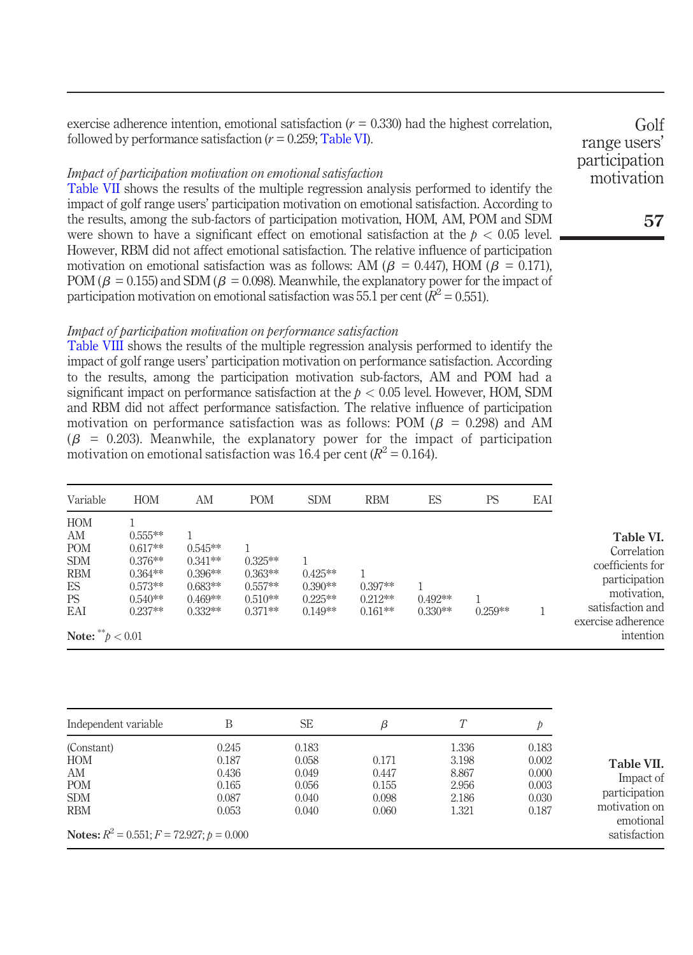exercise adherence intention, emotional satisfaction ( $r = 0.330$ ) had the highest correlation, followed by performance satisfaction  $(r = 0.259,$  [Table VI](#page-7-0)).

#### Impact of participation motivation on emotional satisfaction

[Table VII](#page-7-1) shows the results of the multiple regression analysis performed to identify the impact of golf range users' participation motivation on emotional satisfaction. According to the results, among the sub-factors of participation motivation, HOM, AM, POM and SDM were shown to have a significant effect on emotional satisfaction at the  $p < 0.05$  level. However, RBM did not affect emotional satisfaction. The relative influence of participation motivation on emotional satisfaction was as follows: AM ( $\beta$  = 0.447), HOM ( $\beta$  = 0.171), POM ( $\beta$  = 0.155) and SDM ( $\beta$  = 0.098). Meanwhile, the explanatory power for the impact of participation motivation on emotional satisfaction was 55.1 per cent ( $R^2 = 0.551$ ).

#### Impact of participation motivation on performance satisfaction

[Table VIII](#page-8-0) shows the results of the multiple regression analysis performed to identify the impact of golf range users' participation motivation on performance satisfaction. According to the results, among the participation motivation sub-factors, AM and POM had a significant impact on performance satisfaction at the  $p < 0.05$  level. However, HOM, SDM and RBM did not affect performance satisfaction. The relative influence of participation motivation on performance satisfaction was as follows: POM  $(B = 0.298)$  and AM  $(\beta = 0.203)$ . Meanwhile, the explanatory power for the impact of participation motivation on emotional satisfaction was 16.4 per cent  $(R^2 = 0.164)$ .

| Variable                                                                                                    | <b>HOM</b>                                                                               | AM                                                                         | <b>POM</b>                                                    | <b>SDM</b>                                        | <b>RBM</b>                          | ES                     | PS        | EAI |                                                                                                                                     |
|-------------------------------------------------------------------------------------------------------------|------------------------------------------------------------------------------------------|----------------------------------------------------------------------------|---------------------------------------------------------------|---------------------------------------------------|-------------------------------------|------------------------|-----------|-----|-------------------------------------------------------------------------------------------------------------------------------------|
| <b>HOM</b><br>AM<br><b>POM</b><br><b>SDM</b><br><b>RBM</b><br>ES<br><b>PS</b><br>EAI<br>Note: $*^*p < 0.01$ | $0.555***$<br>$0.617**$<br>$0.376**$<br>$0.364**$<br>$0.573**$<br>$0.540**$<br>$0.237**$ | $0.545**$<br>$0.341**$<br>$0.396**$<br>$0.683**$<br>$0.469**$<br>$0.332**$ | $0.325**$<br>$0.363**$<br>$0.557**$<br>$0.510**$<br>$0.371**$ | $0.425***$<br>$0.390**$<br>$0.225**$<br>$0.149**$ | $0.397**$<br>$0.212**$<br>$0.161**$ | $0.492**$<br>$0.330**$ | $0.259**$ |     | Table VI.<br>Correlation<br>coefficients for<br>participation<br>motivation,<br>satisfaction and<br>exercise adherence<br>intention |

<span id="page-7-1"></span>

| Independent variable                                                                                                          | В                                                  | <b>SE</b>                                          | ß                                         | $\tau$                                             |                                                    |                                                                                        |
|-------------------------------------------------------------------------------------------------------------------------------|----------------------------------------------------|----------------------------------------------------|-------------------------------------------|----------------------------------------------------|----------------------------------------------------|----------------------------------------------------------------------------------------|
| (Constant)<br>HOM<br>AM<br><b>POM</b><br><b>SDM</b><br><b>RBM</b><br><b>Notes:</b> $R^2 = 0.551$ ; $F = 72.927$ ; $p = 0.000$ | 0.245<br>0.187<br>0.436<br>0.165<br>0.087<br>0.053 | 0.183<br>0.058<br>0.049<br>0.056<br>0.040<br>0.040 | 0.171<br>0.447<br>0.155<br>0.098<br>0.060 | 1.336<br>3.198<br>8.867<br>2.956<br>2.186<br>1.321 | 0.183<br>0.002<br>0.000<br>0.003<br>0.030<br>0.187 | Table VII.<br>Impact of<br>participation<br>motivation on<br>emotional<br>satisfaction |

<span id="page-7-0"></span>Golf range users' participation motivation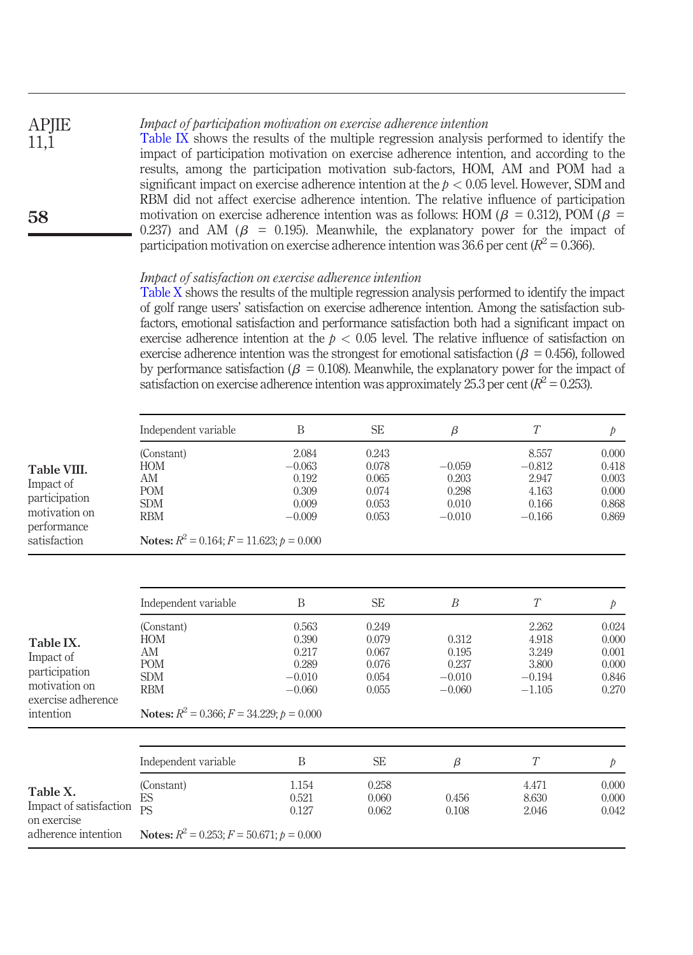Impact of participation motivation on exercise adherence intention

**APJIE** 11,1

58

[Table IX](#page-8-1) shows the results of the multiple regression analysis performed to identify the impact of participation motivation on exercise adherence intention, and according to the results, among the participation motivation sub-factors, HOM, AM and POM had a significant impact on exercise adherence intention at the  $p < 0.05$  level. However, SDM and RBM did not affect exercise adherence intention. The relative influence of participation motivation on exercise adherence intention was as follows: HOM ( $\beta$  = 0.312), POM ( $\beta$  = 0.237) and AM ( $\beta$  = 0.195). Meanwhile, the explanatory power for the impact of participation motivation on exercise adherence intention was 36.6 per cent ( $R^2 = 0.366$ ).

#### Impact of satisfaction on exercise adherence intention

[Table X](#page-8-2) shows the results of the multiple regression analysis performed to identify the impact of golf range users' satisfaction on exercise adherence intention. Among the satisfaction subfactors, emotional satisfaction and performance satisfaction both had a significant impact on exercise adherence intention at the  $p < 0.05$  level. The relative influence of satisfaction on exercise adherence intention was the strongest for emotional satisfaction ( $\beta = 0.456$ ), followed by performance satisfaction ( $\beta$  = 0.108). Meanwhile, the explanatory power for the impact of satisfaction on exercise adherence intention was approximately 25.3 per cent ( $R^2 = 0.253$ ).

<span id="page-8-2"></span><span id="page-8-1"></span><span id="page-8-0"></span>

|                                       | Independent variable                                     | B        | <b>SE</b> | $\beta$        | T        | $\mathcal{P}$ |
|---------------------------------------|----------------------------------------------------------|----------|-----------|----------------|----------|---------------|
|                                       | (Constant)                                               | 2.084    | 0.243     |                | 8.557    | 0.000         |
| Table VIII.                           | <b>HOM</b>                                               | $-0.063$ | 0.078     | $-0.059$       | $-0.812$ | 0.418         |
| Impact of                             | AM                                                       | 0.192    | 0.065     | 0.203          | 2.947    | 0.003         |
|                                       | <b>POM</b>                                               | 0.309    | 0.074     | 0.298          | 4.163    | 0.000         |
| participation<br>motivation on        | <b>SDM</b>                                               | 0.009    | 0.053     | 0.010          | 0.166    | 0.868         |
| performance                           | <b>RBM</b>                                               | $-0.009$ | 0.053     | $-0.010$       | $-0.166$ | 0.869         |
| satisfaction                          | <b>Notes:</b> $R^2 = 0.164$ ; $F = 11.623$ ; $p = 0.000$ |          |           |                |          |               |
|                                       |                                                          |          |           |                |          |               |
|                                       | Independent variable                                     | B        | <b>SE</b> | $\overline{B}$ | T        | $\dot{p}$     |
|                                       | (Constant)                                               | 0.563    | 0.249     |                | 2.262    | 0.024         |
| Table IX.                             | <b>HOM</b>                                               | 0.390    | 0.079     | 0.312          | 4.918    | 0.000         |
| Impact of                             | AM                                                       | 0.217    | 0.067     | 0.195          | 3.249    | 0.001         |
| participation                         | <b>POM</b>                                               | 0.289    | 0.076     | 0.237          | 3.800    | 0.000         |
| motivation on                         | <b>SDM</b>                                               | $-0.010$ | 0.054     | $-0.010$       | $-0.194$ | 0.846         |
| exercise adherence                    | <b>RBM</b>                                               | $-0.060$ | 0.055     | $-0.060$       | $-1.105$ | 0.270         |
| intention                             | <b>Notes:</b> $R^2 = 0.366$ ; $F = 34.229$ ; $p = 0.000$ |          |           |                |          |               |
|                                       | Independent variable                                     | B        | <b>SE</b> |                | $\tau$   |               |
|                                       |                                                          |          |           | $\beta$        |          | $\dot{p}$     |
| Table X.                              | (Constant)                                               | 1.154    | 0.258     |                | 4.471    | 0.000         |
|                                       | ES                                                       | 0.521    | 0.060     | 0.456          | 8.630    | 0.000         |
| Impact of satisfaction<br>on exercise | <b>PS</b>                                                | 0.127    | 0.062     | 0.108          | 2.046    | 0.042         |
| adherence intention                   | <b>Notes:</b> $R^2 = 0.253$ ; $F = 50.671$ ; $p = 0.000$ |          |           |                |          |               |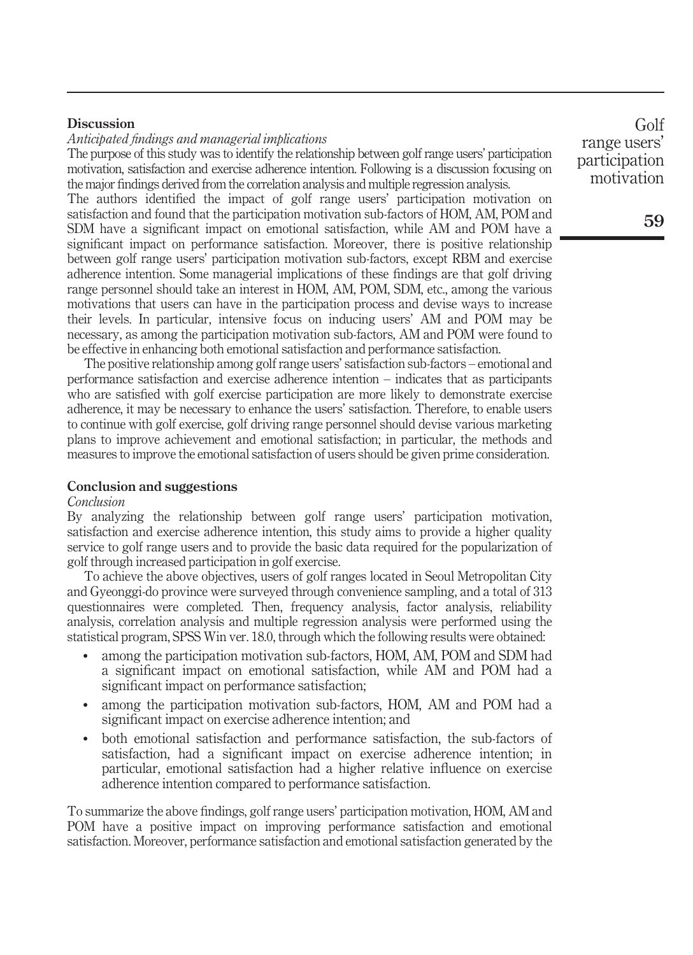### **Discussion**

Anticipated findings and managerial implications

The purpose of this study was to identify the relationship between golf range users' participation motivation, satisfaction and exercise adherence intention. Following is a discussion focusing on the major findings derived from the correlation analysis and multiple regression analysis.

The authors identified the impact of golf range users' participation motivation on satisfaction and found that the participation motivation sub-factors of HOM, AM, POM and SDM have a significant impact on emotional satisfaction, while AM and POM have a significant impact on performance satisfaction. Moreover, there is positive relationship between golf range users' participation motivation sub-factors, except RBM and exercise adherence intention. Some managerial implications of these findings are that golf driving range personnel should take an interest in HOM, AM, POM, SDM, etc., among the various motivations that users can have in the participation process and devise ways to increase their levels. In particular, intensive focus on inducing users' AM and POM may be necessary, as among the participation motivation sub-factors, AM and POM were found to be effective in enhancing both emotional satisfaction and performance satisfaction.

The positive relationship among golf range users' satisfaction sub-factors – emotional and performance satisfaction and exercise adherence intention – indicates that as participants who are satisfied with golf exercise participation are more likely to demonstrate exercise adherence, it may be necessary to enhance the users' satisfaction. Therefore, to enable users to continue with golf exercise, golf driving range personnel should devise various marketing plans to improve achievement and emotional satisfaction; in particular, the methods and measures to improve the emotional satisfaction of users should be given prime consideration.

## Conclusion and suggestions

#### Conclusion

By analyzing the relationship between golf range users' participation motivation, satisfaction and exercise adherence intention, this study aims to provide a higher quality service to golf range users and to provide the basic data required for the popularization of golf through increased participation in golf exercise.

To achieve the above objectives, users of golf ranges located in Seoul Metropolitan City and Gyeonggi-do province were surveyed through convenience sampling, and a total of 313 questionnaires were completed. Then, frequency analysis, factor analysis, reliability analysis, correlation analysis and multiple regression analysis were performed using the statistical program, SPSS Win ver. 18.0, through which the following results were obtained:

- among the participation motivation sub-factors, HOM, AM, POM and SDM had a significant impact on emotional satisfaction, while AM and POM had a significant impact on performance satisfaction;
- among the participation motivation sub-factors, HOM, AM and POM had a significant impact on exercise adherence intention; and
- both emotional satisfaction and performance satisfaction, the sub-factors of satisfaction, had a significant impact on exercise adherence intention; in particular, emotional satisfaction had a higher relative influence on exercise adherence intention compared to performance satisfaction.

To summarize the above findings, golf range users' participation motivation, HOM, AM and POM have a positive impact on improving performance satisfaction and emotional satisfaction. Moreover, performance satisfaction and emotional satisfaction generated by the

Golf range users' participation motivation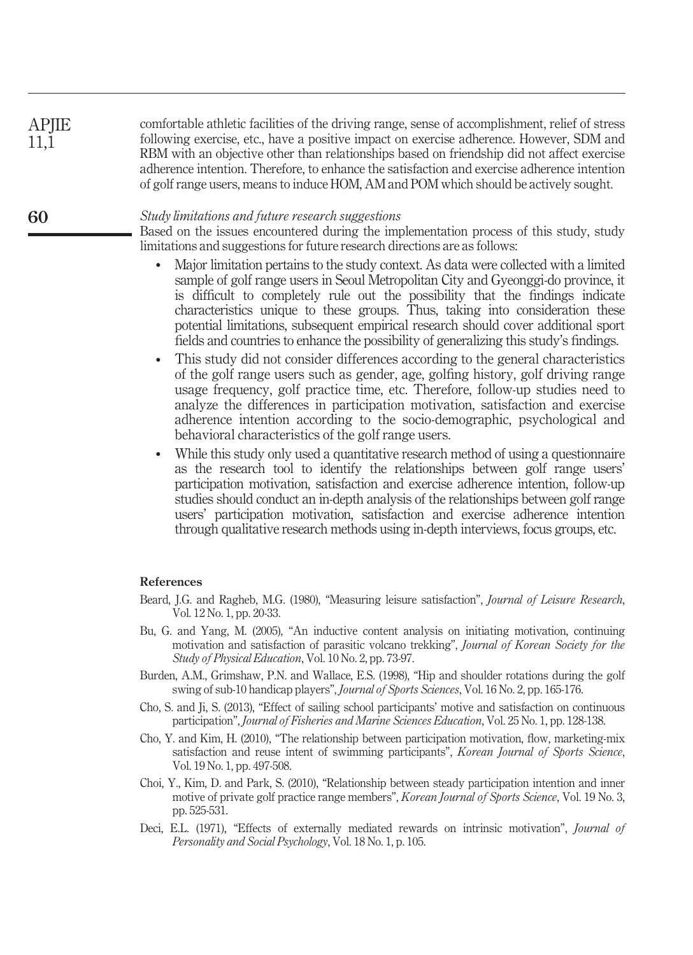comfortable athletic facilities of the driving range, sense of accomplishment, relief of stress following exercise, etc., have a positive impact on exercise adherence. However, SDM and RBM with an objective other than relationships based on friendship did not affect exercise adherence intention. Therefore, to enhance the satisfaction and exercise adherence intention of golf range users, means to induce HOM, AM and POM which should be actively sought. **APJIE** 11,1

#### Study limitations and future research suggestions Based on the issues encountered during the implementation process of this study, study limitations and suggestions for future research directions are as follows: 60

- Major limitation pertains to the study context. As data were collected with a limited sample of golf range users in Seoul Metropolitan City and Gyeonggi-do province, it is difficult to completely rule out the possibility that the findings indicate characteristics unique to these groups. Thus, taking into consideration these potential limitations, subsequent empirical research should cover additional sport fields and countries to enhance the possibility of generalizing this study's findings.
- This study did not consider differences according to the general characteristics of the golf range users such as gender, age, golfing history, golf driving range usage frequency, golf practice time, etc. Therefore, follow-up studies need to analyze the differences in participation motivation, satisfaction and exercise adherence intention according to the socio-demographic, psychological and behavioral characteristics of the golf range users.
- While this study only used a quantitative research method of using a questionnaire as the research tool to identify the relationships between golf range users' participation motivation, satisfaction and exercise adherence intention, follow-up studies should conduct an in-depth analysis of the relationships between golf range users' participation motivation, satisfaction and exercise adherence intention through qualitative research methods using in-depth interviews, focus groups, etc.

#### References

- <span id="page-10-6"></span>Beard, J.G. and Ragheb, M.G. (1980), "Measuring leisure satisfaction", *Journal of Leisure Research*, Vol. 12 No. 1, pp. 20-33.
- <span id="page-10-1"></span>Bu, G. and Yang, M. (2005), "An inductive content analysis on initiating motivation, continuing motivation and satisfaction of parasitic volcano trekking", Journal of Korean Society for the Study of Physical Education, Vol. 10 No. 2, pp. 73-97.
- <span id="page-10-0"></span>Burden, A.M., Grimshaw, P.N. and Wallace, E.S. (1998), "Hip and shoulder rotations during the golf swing of sub-10 handicap players", Journal of Sports Sciences, Vol. 16 No. 2, pp. 165-176.
- <span id="page-10-2"></span>Cho, S. and Ji, S. (2013), "Effect of sailing school participants' motive and satisfaction on continuous participation", Journal of Fisheries and Marine Sciences Education, Vol. 25 No. 1, pp. 128-138.
- <span id="page-10-3"></span>Cho, Y. and Kim, H. (2010), "The relationship between participation motivation, flow, marketing-mix satisfaction and reuse intent of swimming participants", Korean Journal of Sports Science, Vol. 19 No. 1, pp. 497-508.
- <span id="page-10-4"></span>Choi, Y., Kim, D. and Park, S. (2010), "Relationship between steady participation intention and inner motive of private golf practice range members", Korean Journal of Sports Science, Vol. 19 No. 3, pp. 525-531.
- <span id="page-10-5"></span>Deci, E.L. (1971), "Effects of externally mediated rewards on intrinsic motivation", *Journal of* Personality and Social Psychology, Vol. 18 No. 1, p. 105.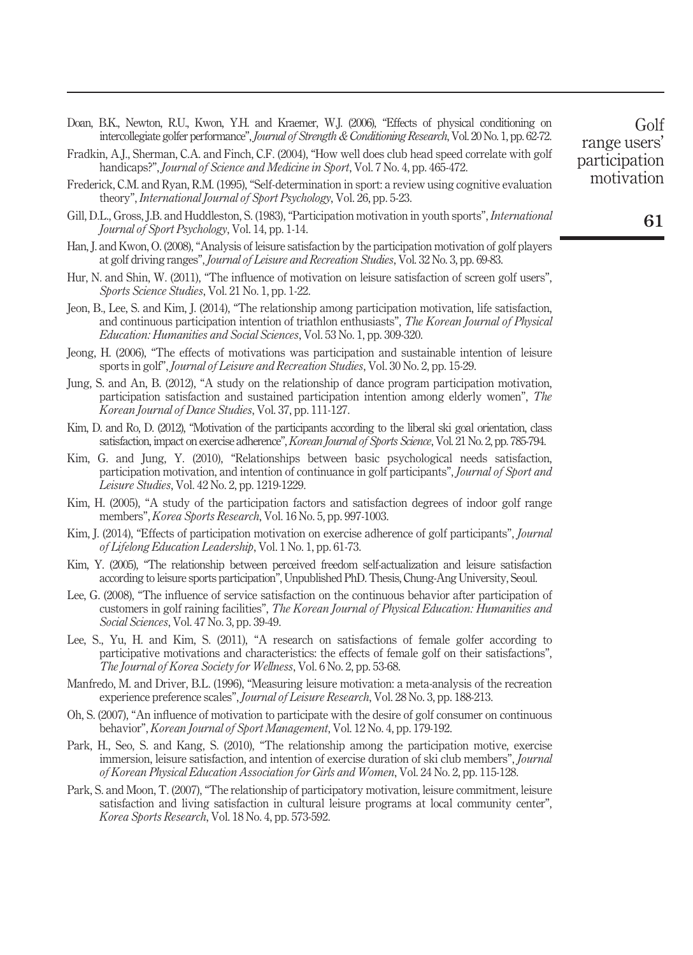<span id="page-11-0"></span>

|  |  |  | Doan, B.K., Newton, R.U., Kwon, Y.H. and Kraemer, W.J. (2006), "Effects of physical conditioning on                     |  |  |  |  |
|--|--|--|-------------------------------------------------------------------------------------------------------------------------|--|--|--|--|
|  |  |  | intercollegiate golfer performance", <i>Journal of Strength &amp; Conditioning Research</i> , Vol. 20 No. 1, pp. 62-72. |  |  |  |  |

- <span id="page-11-1"></span>Fradkin, A.J., Sherman, C.A. and Finch, C.F. (2004), "How well does club head speed correlate with golf handicaps?", Journal of Science and Medicine in Sport, Vol. 7 No. 4, pp. 465-472.
- <span id="page-11-17"></span>Frederick, C.M. and Ryan, R.M. (1995), "Self-determination in sport: a review using cognitive evaluation theory", International Journal of Sport Psychology, Vol. 26, pp. 5-23.
- <span id="page-11-18"></span>Gill, D.L., Gross, J.B. and Huddleston, S. (1983), "Participation motivation in youth sports", *International* Journal of Sport Psychology, Vol. 14, pp. 1-14.
- <span id="page-11-8"></span>Han, J. and Kwon, O. (2008),"Analysis of leisure satisfaction by the participation motivation of golf players at golf driving ranges", Journal of Leisure and Recreation Studies, Vol. 32 No. 3, pp. 69-83.
- <span id="page-11-9"></span>Hur, N. and Shin, W. (2011), "The influence of motivation on leisure satisfaction of screen golf users", Sports Science Studies, Vol. 21 No. 1, pp. 1-22.
- <span id="page-11-5"></span>Jeon, B., Lee, S. and Kim, J. (2014), "The relationship among participation motivation, life satisfaction, and continuous participation intention of triathlon enthusiasts", The Korean Journal of Physical Education: Humanities and Social Sciences, Vol. 53 No. 1, pp. 309-320.
- <span id="page-11-12"></span>Jeong, H. (2006), "The effects of motivations was participation and sustainable intention of leisure sports in golf", Journal of Leisure and Recreation Studies, Vol. 30 No. 2, pp. 15-29.
- <span id="page-11-6"></span>Jung, S. and An, B. (2012), "A study on the relationship of dance program participation motivation, participation satisfaction and sustained participation intention among elderly women", The Korean Journal of Dance Studies, Vol. 37, pp. 111-127.
- <span id="page-11-7"></span>Kim, D. and Ro, D. (2012), "Motivation of the participants according to the liberal ski goal orientation, class satisfaction, impact on exercise adherence", Korean Journal of Sports Science, Vol. 21 No. 2, pp. 785-794.
- <span id="page-11-14"></span>Kim, G. and Jung, Y. (2010), "Relationships between basic psychological needs satisfaction, participation motivation, and intention of continuance in golf participants", Journal of Sport and Leisure Studies, Vol. 42 No. 2, pp. 1219-1229.
- <span id="page-11-10"></span>Kim, H. (2005), "A study of the participation factors and satisfaction degrees of indoor golf range members", Korea Sports Research, Vol. 16 No. 5, pp. 997-1003.
- <span id="page-11-13"></span>Kim, J. (2014), "Effects of participation motivation on exercise adherence of golf participants", Journal of Lifelong Education Leadership, Vol. 1 No. 1, pp. 61-73.
- <span id="page-11-19"></span>Kim, Y. (2005), "The relationship between perceived freedom self-actualization and leisure satisfaction according to leisure sports participation", Unpublished PhD. Thesis, Chung-Ang University, Seoul.
- <span id="page-11-16"></span>Lee, G. (2008), "The influence of service satisfaction on the continuous behavior after participation of customers in golf raining facilities", The Korean Journal of Physical Education: Humanities and Social Sciences, Vol. 47 No. 3, pp. 39-49.
- <span id="page-11-11"></span>Lee, S., Yu, H. and Kim, S. (2011), "A research on satisfactions of female golfer according to participative motivations and characteristics: the effects of female golf on their satisfactions", The Journal of Korea Society for Wellness, Vol. 6 No. 2, pp. 53-68.
- <span id="page-11-4"></span>Manfredo, M. and Driver, B.L. (1996), "Measuring leisure motivation: a meta-analysis of the recreation experience preference scales", Journal of Leisure Research, Vol. 28 No. 3, pp. 188-213.
- <span id="page-11-15"></span>Oh, S. (2007), "An influence of motivation to participate with the desire of golf consumer on continuous behavior", Korean Journal of Sport Management, Vol. 12 No. 4, pp. 179-192.
- <span id="page-11-2"></span>Park, H., Seo, S. and Kang, S. (2010), "The relationship among the participation motive, exercise immersion, leisure satisfaction, and intention of exercise duration of ski club members", Journal of Korean Physical Education Association for Girls and Women, Vol. 24 No. 2, pp. 115-128.
- <span id="page-11-3"></span>Park, S. and Moon, T. (2007), "The relationship of participatory motivation, leisure commitment, leisure satisfaction and living satisfaction in cultural leisure programs at local community center", Korea Sports Research, Vol. 18 No. 4, pp. 573-592.

range users' participation motivation

Golf